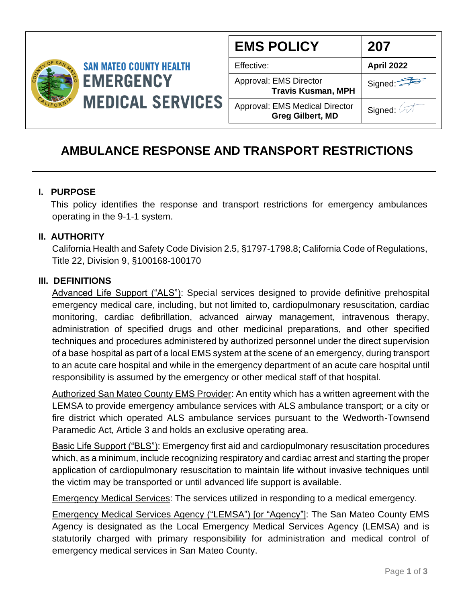

| <b>EMS POLICY</b>                                                | 207        |  |  |
|------------------------------------------------------------------|------------|--|--|
| Effective:                                                       | April 2022 |  |  |
| Approval: EMS Director<br><b>Travis Kusman, MPH</b>              | Signed:    |  |  |
| <b>Approval: EMS Medical Director</b><br><b>Greg Gilbert, MD</b> | Signed: A  |  |  |

# **AMBULANCE RESPONSE AND TRANSPORT RESTRICTIONS**

#### **I. PURPOSE**

 This policy identifies the response and transport restrictions for emergency ambulances operating in the 9-1-1 system.

#### **II. AUTHORITY**

California Health and Safety Code Division 2.5, §1797-1798.8; California Code of Regulations, Title 22, Division 9, §100168-100170

#### **III. DEFINITIONS**

Advanced Life Support ("ALS"): Special services designed to provide definitive prehospital emergency medical care, including, but not limited to, cardiopulmonary resuscitation, cardiac monitoring, cardiac defibrillation, advanced airway management, intravenous therapy, administration of specified drugs and other medicinal preparations, and other specified techniques and procedures administered by authorized personnel under the direct supervision of a base hospital as part of a local EMS system at the scene of an emergency, during transport to an acute care hospital and while in the emergency department of an acute care hospital until responsibility is assumed by the emergency or other medical staff of that hospital.

Authorized San Mateo County EMS Provider: An entity which has a written agreement with the LEMSA to provide emergency ambulance services with ALS ambulance transport; or a city or fire district which operated ALS ambulance services pursuant to the Wedworth-Townsend Paramedic Act, Article 3 and holds an exclusive operating area.

Basic Life Support ("BLS"): Emergency first aid and cardiopulmonary resuscitation procedures which, as a minimum, include recognizing respiratory and cardiac arrest and starting the proper application of cardiopulmonary resuscitation to maintain life without invasive techniques until the victim may be transported or until advanced life support is available.

Emergency Medical Services: The services utilized in responding to a medical emergency.

Emergency Medical Services Agency ("LEMSA") [or "Agency"]: The San Mateo County EMS Agency is designated as the Local Emergency Medical Services Agency (LEMSA) and is statutorily charged with primary responsibility for administration and medical control of emergency medical services in San Mateo County.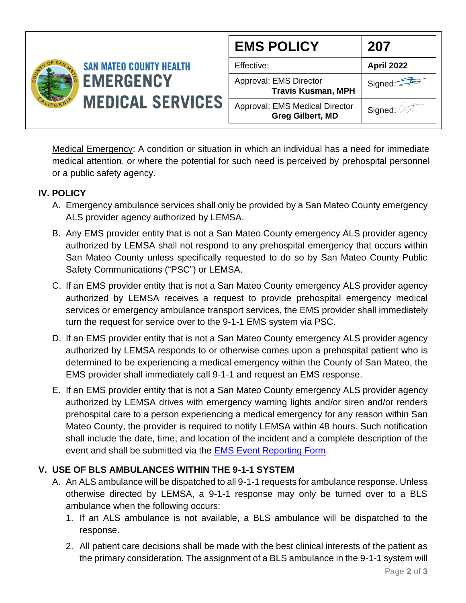

Medical Emergency: A condition or situation in which an individual has a need for immediate medical attention, or where the potential for such need is perceived by prehospital personnel or a public safety agency.

### **IV. POLICY**

- A. Emergency ambulance services shall only be provided by a San Mateo County emergency ALS provider agency authorized by LEMSA.
- B. Any EMS provider entity that is not a San Mateo County emergency ALS provider agency authorized by LEMSA shall not respond to any prehospital emergency that occurs within San Mateo County unless specifically requested to do so by San Mateo County Public Safety Communications ("PSC") or LEMSA.
- C. If an EMS provider entity that is not a San Mateo County emergency ALS provider agency authorized by LEMSA receives a request to provide prehospital emergency medical services or emergency ambulance transport services, the EMS provider shall immediately turn the request for service over to the 9-1-1 EMS system via PSC.
- D. If an EMS provider entity that is not a San Mateo County emergency ALS provider agency authorized by LEMSA responds to or otherwise comes upon a prehospital patient who is determined to be experiencing a medical emergency within the County of San Mateo, the EMS provider shall immediately call 9-1-1 and request an EMS response.
- E. If an EMS provider entity that is not a San Mateo County emergency ALS provider agency authorized by LEMSA drives with emergency warning lights and/or siren and/or renders prehospital care to a person experiencing a medical emergency for any reason within San Mateo County, the provider is required to notify LEMSA within 48 hours. Such notification shall include the date, time, and location of the incident and a complete description of the event and shall be submitted via the [EMS Event Reporting Form.](https://app.smartsheet.com/b/form/46e5cbf2dd814320add982143777d308)

## **V. USE OF BLS AMBULANCES WITHIN THE 9-1-1 SYSTEM**

- A. An ALS ambulance will be dispatched to all 9-1-1 requests for ambulance response. Unless otherwise directed by LEMSA, a 9-1-1 response may only be turned over to a BLS ambulance when the following occurs:
	- 1. If an ALS ambulance is not available, a BLS ambulance will be dispatched to the response.
	- 2. All patient care decisions shall be made with the best clinical interests of the patient as the primary consideration. The assignment of a BLS ambulance in the 9-1-1 system will